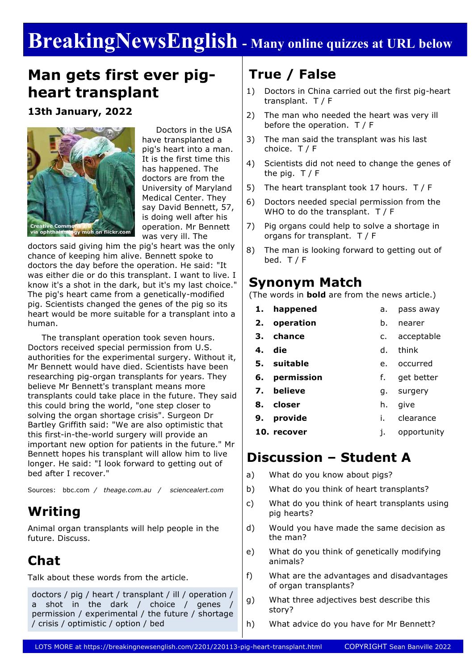# **BreakingNewsEnglish - Many online quizzes at URL below**

# **Man gets first ever pigheart transplant**

**13th January, 2022**



 Doctors in the USA have transplanted a pig's heart into a man. It is the first time this has happened. The doctors are from the University of Maryland Medical Center. They say David Bennett, 57, is doing well after his operation. Mr Bennett was very ill. The

doctors said giving him the pig's heart was the only chance of keeping him alive. Bennett spoke to doctors the day before the operation. He said: "It was either die or do this transplant. I want to live. I know it's a shot in the dark, but it's my last choice." The pig's heart came from a genetically-modified pig. Scientists changed the genes of the pig so its heart would be more suitable for a transplant into a human.

 The transplant operation took seven hours. Doctors received special permission from U.S. authorities for the experimental surgery. Without it, Mr Bennett would have died. Scientists have been researching pig-organ transplants for years. They believe Mr Bennett's transplant means more transplants could take place in the future. They said this could bring the world, "one step closer to solving the organ shortage crisis". Surgeon Dr Bartley Griffith said: "We are also optimistic that this first-in-the-world surgery will provide an important new option for patients in the future." Mr Bennett hopes his transplant will allow him to live longer. He said: "I look forward to getting out of bed after I recover."

Sources: bbc.com */ theage.com.au / sciencealert.com*

### **Writing**

Animal organ transplants will help people in the future. Discuss.

### **Chat**

Talk about these words from the article.

doctors / pig / heart / transplant / ill / operation / a shot in the dark / choice / genes / permission / experimental / the future / shortage / crisis / optimistic / option / bed

### **True / False**

- 1) Doctors in China carried out the first pig-heart transplant. T / F
- 2) The man who needed the heart was very ill before the operation. T / F
- 3) The man said the transplant was his last choice. T / F
- 4) Scientists did not need to change the genes of the pig.  $T / F$
- 5) The heart transplant took 17 hours. T / F
- 6) Doctors needed special permission from the WHO to do the transplant. T / F
- 7) Pig organs could help to solve a shortage in organs for transplant. T / F
- 8) The man is looking forward to getting out of bed.  $T / F$

#### **Synonym Match**

(The words in **bold** are from the news article.)

- **1. happened 2. operation** a. pass away b. nearer
	- **3. chance** c. acceptable
	- **4. die** d. think
	- **5. suitable** e. occurred
	- **6. permission** f. get better
	- **7. believe** g. surgery
	- **8. closer** h. give
	- **9. provide** i. clearance
- **10. recover** j. opportunity

#### **Discussion – Student A**

- a) What do you know about pigs?
- b) What do you think of heart transplants?
- c) What do you think of heart transplants using pig hearts?
- d) Would you have made the same decision as the man?
- e) What do you think of genetically modifying animals?
- f) What are the advantages and disadvantages of organ transplants?
- g) What three adjectives best describe this story?
- h) What advice do you have for Mr Bennett?